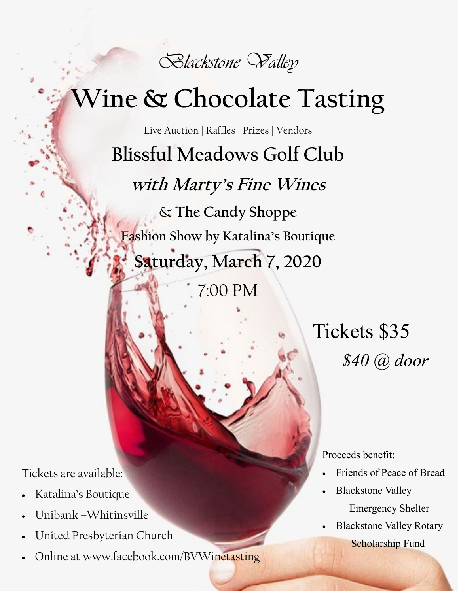

## **Wine & Chocolate Tasting**

Live Auction | Raffles | Prizes | Vendors **Blissful Meadows Golf Club with Marty's Fine Wines** & **The Candy Shoppe Fashion Show by Katalina's Boutique Saturday, March 7, 2020**

7:00 PM

Tickets \$35 *\$40 @ door*

Tickets are available:

- Katalina's Boutique
- Unibank –Whitinsville
- United Presbyterian Church
- Online at www.facebook.com/BVWinetasting

Proceeds benefit:

- Friends of Peace of Bread
- Blackstone Valley Emergency Shelter
- Blackstone Valley Rotary Scholarship Fund